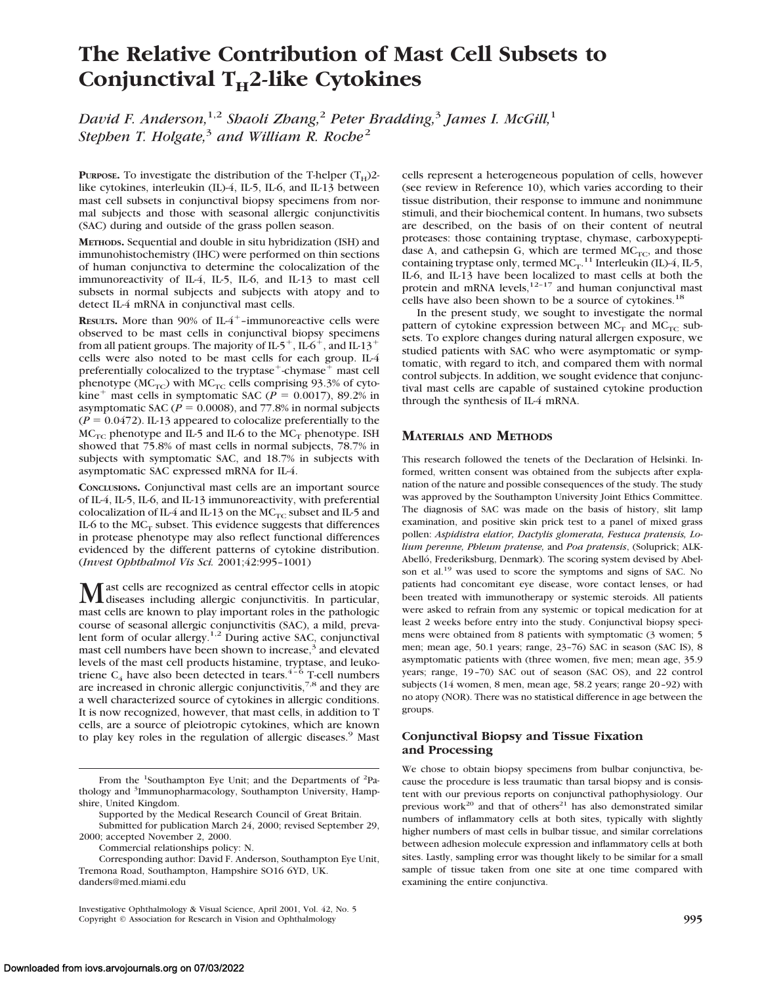# **The Relative Contribution of Mast Cell Subsets to Conjunctival T<sub>H</sub>2-like Cytokines**

*David F. Anderson,*1,2 *Shaoli Zhang,*<sup>2</sup> *Peter Bradding,*<sup>3</sup> *James I. McGill,*<sup>1</sup> *Stephen T. Holgate,*<sup>3</sup> *and William R. Roche*<sup>2</sup>

**PURPOSE.** To investigate the distribution of the T-helper  $(T_H)2$ like cytokines, interleukin (IL)-4, IL-5, IL-6, and IL-13 between mast cell subsets in conjunctival biopsy specimens from normal subjects and those with seasonal allergic conjunctivitis (SAC) during and outside of the grass pollen season.

**METHODS.** Sequential and double in situ hybridization (ISH) and immunohistochemistry (IHC) were performed on thin sections of human conjunctiva to determine the colocalization of the immunoreactivity of IL-4, IL-5, IL-6, and IL-13 to mast cell subsets in normal subjects and subjects with atopy and to detect IL-4 mRNA in conjunctival mast cells.

**RESULTS.** More than 90% of  $IL4^+$ -immunoreactive cells were observed to be mast cells in conjunctival biopsy specimens from all patient groups. The majority of IL-5<sup>+</sup>, IL-6<sup>+</sup>, and IL-13<sup>+</sup> cells were also noted to be mast cells for each group. IL-4 preferentially colocalized to the tryptase $+$ chymase $+$  mast cell phenotype ( $MC_{TC}$ ) with  $MC_{TC}$  cells comprising 93.3% of cytokine<sup>+</sup> mast cells in symptomatic SAC ( $P = 0.0017$ ), 89.2% in asymptomatic SAC ( $P = 0.0008$ ), and 77.8% in normal subjects  $(P = 0.0472)$ . IL-13 appeared to colocalize preferentially to the  $MC_{TC}$  phenotype and IL-5 and IL-6 to the  $MC_T$  phenotype. ISH showed that 75.8% of mast cells in normal subjects, 78.7% in subjects with symptomatic SAC, and 18.7% in subjects with asymptomatic SAC expressed mRNA for IL-4.

**CONCLUSIONS.** Conjunctival mast cells are an important source of IL-4, IL-5, IL-6, and IL-13 immunoreactivity, with preferential colocalization of IL-4 and IL-13 on the  $MC_{TC}$  subset and IL-5 and IL-6 to the  $MC_T$  subset. This evidence suggests that differences in protease phenotype may also reflect functional differences evidenced by the different patterns of cytokine distribution. (*Invest Ophthalmol Vis Sci.* 2001;42:995–1001)

Mast cells are recognized as central effector cells in atopic<br>diseases including allergic conjunctivitis. In particular, mast cells are known to play important roles in the pathologic course of seasonal allergic conjunctivitis (SAC), a mild, prevalent form of ocular allergy.<sup>1,2</sup> During active SAC, conjunctival mast cell numbers have been shown to increase, $\frac{3}{2}$  and elevated levels of the mast cell products histamine, tryptase, and leukotriene  $C_4$  have also been detected in tears.<sup>4-6</sup> T-cell numbers are increased in chronic allergic conjunctivitis,<sup>7,8</sup> and they are a well characterized source of cytokines in allergic conditions. It is now recognized, however, that mast cells, in addition to T cells, are a source of pleiotropic cytokines, which are known to play key roles in the regulation of allergic diseases.<sup>9</sup> Mast

Commercial relationships policy: N.

Investigative Ophthalmology & Visual Science, April 2001, Vol. 42, No. 5 Copyright © Association for Research in Vision and Ophthalmology **995**

cells represent a heterogeneous population of cells, however (see review in Reference 10), which varies according to their tissue distribution, their response to immune and nonimmune stimuli, and their biochemical content. In humans, two subsets are described, on the basis of on their content of neutral proteases: those containing tryptase, chymase, carboxypeptidase A, and cathepsin G, which are termed  $MC<sub>TC</sub>$ , and those containing tryptase only, termed  $MC_T$ .<sup>11</sup> Interleukin (IL)-4, IL-5, IL-6, and IL-13 have been localized to mast cells at both the protein and mRNA levels, $12-17$  and human conjunctival mast cells have also been shown to be a source of cytokines.<sup>18</sup>

In the present study, we sought to investigate the normal pattern of cytokine expression between  $MC_T$  and  $MC_{TC}$  subsets. To explore changes during natural allergen exposure, we studied patients with SAC who were asymptomatic or symptomatic, with regard to itch, and compared them with normal control subjects. In addition, we sought evidence that conjunctival mast cells are capable of sustained cytokine production through the synthesis of IL-4 mRNA.

# **MATERIALS AND METHODS**

This research followed the tenets of the Declaration of Helsinki. Informed, written consent was obtained from the subjects after explanation of the nature and possible consequences of the study. The study was approved by the Southampton University Joint Ethics Committee. The diagnosis of SAC was made on the basis of history, slit lamp examination, and positive skin prick test to a panel of mixed grass pollen: *Aspidistra elatior, Dactylis glomerata, Festuca pratensis, Lolium perenne, Phleum pratense,* and *Poa pratensis*, (Soluprick; ALK-Abelló, Frederiksburg, Denmark). The scoring system devised by Abelson et al.<sup>19</sup> was used to score the symptoms and signs of SAC. No patients had concomitant eye disease, wore contact lenses, or had been treated with immunotherapy or systemic steroids. All patients were asked to refrain from any systemic or topical medication for at least 2 weeks before entry into the study. Conjunctival biopsy specimens were obtained from 8 patients with symptomatic (3 women; 5 men; mean age, 50.1 years; range, 23–76) SAC in season (SAC IS), 8 asymptomatic patients with (three women, five men; mean age, 35.9 years; range, 19–70) SAC out of season (SAC OS), and 22 control subjects (14 women, 8 men, mean age, 58.2 years; range 20–92) with no atopy (NOR). There was no statistical difference in age between the groups.

# **Conjunctival Biopsy and Tissue Fixation and Processing**

We chose to obtain biopsy specimens from bulbar conjunctiva, because the procedure is less traumatic than tarsal biopsy and is consistent with our previous reports on conjunctival pathophysiology. Our previous work<sup>20</sup> and that of others<sup>21</sup> has also demonstrated similar numbers of inflammatory cells at both sites, typically with slightly higher numbers of mast cells in bulbar tissue, and similar correlations between adhesion molecule expression and inflammatory cells at both sites. Lastly, sampling error was thought likely to be similar for a small sample of tissue taken from one site at one time compared with examining the entire conjunctiva.

From the <sup>1</sup>Southampton Eye Unit; and the Departments of <sup>2</sup>Pathology and <sup>3</sup>Immunopharmacology, Southampton University, Hampshire, United Kingdom.

Supported by the Medical Research Council of Great Britain.

Submitted for publication March 24, 2000; revised September 29, 2000; accepted November 2, 2000.

Corresponding author: David F. Anderson, Southampton Eye Unit, Tremona Road, Southampton, Hampshire SO16 6YD, UK. danders@med.miami.edu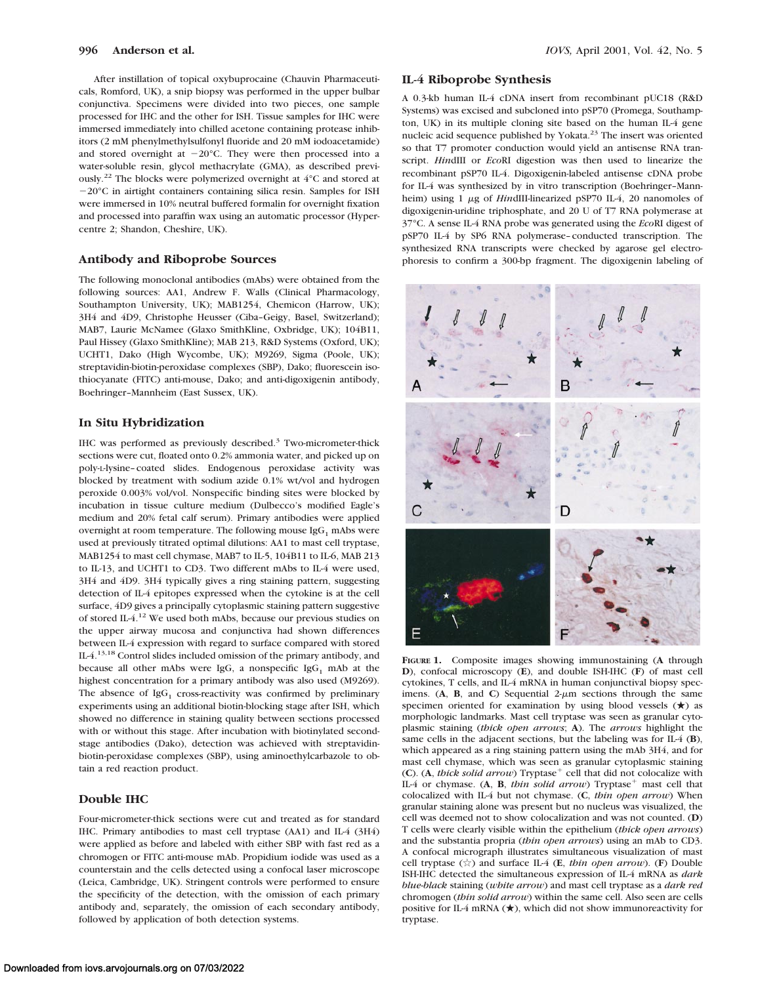After instillation of topical oxybuprocaine (Chauvin Pharmaceuticals, Romford, UK), a snip biopsy was performed in the upper bulbar conjunctiva. Specimens were divided into two pieces, one sample processed for IHC and the other for ISH. Tissue samples for IHC were immersed immediately into chilled acetone containing protease inhibitors (2 mM phenylmethylsulfonyl fluoride and 20 mM iodoacetamide) and stored overnight at  $-20^{\circ}$ C. They were then processed into a water-soluble resin, glycol methacrylate (GMA), as described previously.22 The blocks were polymerized overnight at 4°C and stored at  $-20^{\circ}$ C in airtight containers containing silica resin. Samples for ISH were immersed in 10% neutral buffered formalin for overnight fixation and processed into paraffin wax using an automatic processor (Hypercentre 2; Shandon, Cheshire, UK).

#### **Antibody and Riboprobe Sources**

The following monoclonal antibodies (mAbs) were obtained from the following sources: AA1, Andrew F. Walls (Clinical Pharmacology, Southampton University, UK); MAB1254, Chemicon (Harrow, UK); 3H4 and 4D9, Christophe Heusser (Ciba–Geigy, Basel, Switzerland); MAB7, Laurie McNamee (Glaxo SmithKline, Oxbridge, UK); 104B11, Paul Hissey (Glaxo SmithKline); MAB 213, R&D Systems (Oxford, UK); UCHT1, Dako (High Wycombe, UK); M9269, Sigma (Poole, UK); streptavidin-biotin-peroxidase complexes (SBP), Dako; fluorescein isothiocyanate (FITC) anti-mouse, Dako; and anti-digoxigenin antibody, Boehringer–Mannheim (East Sussex, UK).

## **In Situ Hybridization**

IHC was performed as previously described.<sup>3</sup> Two-micrometer-thick sections were cut, floated onto 0.2% ammonia water, and picked up on poly-L-lysine–coated slides. Endogenous peroxidase activity was blocked by treatment with sodium azide 0.1% wt/vol and hydrogen peroxide 0.003% vol/vol. Nonspecific binding sites were blocked by incubation in tissue culture medium (Dulbecco's modified Eagle's medium and 20% fetal calf serum). Primary antibodies were applied overnight at room temperature. The following mouse  $\lg G_1$  mAbs were used at previously titrated optimal dilutions: AA1 to mast cell tryptase, MAB1254 to mast cell chymase, MAB7 to IL-5, 104B11 to IL-6, MAB 213 to IL-13, and UCHT1 to CD3. Two different mAbs to IL-4 were used, 3H4 and 4D9. 3H4 typically gives a ring staining pattern, suggesting detection of IL-4 epitopes expressed when the cytokine is at the cell surface, 4D9 gives a principally cytoplasmic staining pattern suggestive of stored IL-4.12 We used both mAbs, because our previous studies on the upper airway mucosa and conjunctiva had shown differences between IL-4 expression with regard to surface compared with stored IL-4.13,18 Control slides included omission of the primary antibody, and because all other mAbs were IgG, a nonspecific IgG<sub>1</sub> mAb at the highest concentration for a primary antibody was also used (M9269). The absence of  $IgG_1$  cross-reactivity was confirmed by preliminary experiments using an additional biotin-blocking stage after ISH, which showed no difference in staining quality between sections processed with or without this stage. After incubation with biotinylated secondstage antibodies (Dako), detection was achieved with streptavidinbiotin-peroxidase complexes (SBP), using aminoethylcarbazole to obtain a red reaction product.

## **Double IHC**

Four-micrometer-thick sections were cut and treated as for standard IHC. Primary antibodies to mast cell tryptase (AA1) and IL-4 (3H4) were applied as before and labeled with either SBP with fast red as a chromogen or FITC anti-mouse mAb. Propidium iodide was used as a counterstain and the cells detected using a confocal laser microscope (Leica, Cambridge, UK). Stringent controls were performed to ensure the specificity of the detection, with the omission of each primary antibody and, separately, the omission of each secondary antibody, followed by application of both detection systems.

## **IL-4 Riboprobe Synthesis**

A 0.3-kb human IL-4 cDNA insert from recombinant pUC18 (R&D Systems) was excised and subcloned into pSP70 (Promega, Southampton, UK) in its multiple cloning site based on the human IL-4 gene nucleic acid sequence published by Yokata.<sup>23</sup> The insert was oriented so that T7 promoter conduction would yield an antisense RNA transcript. *Hin*dIII or *Eco*RI digestion was then used to linearize the recombinant pSP70 IL-4. Digoxigenin-labeled antisense cDNA probe for IL-4 was synthesized by in vitro transcription (Boehringer–Mannheim) using 1 µg of *HindIII-linearized* pSP70 IL-4, 20 nanomoles of digoxigenin-uridine triphosphate, and 20 U of T7 RNA polymerase at 37°C. A sense IL-4 RNA probe was generated using the *Eco*RI digest of pSP70 IL-4 by SP6 RNA polymerase–conducted transcription. The synthesized RNA transcripts were checked by agarose gel electrophoresis to confirm a 300-bp fragment. The digoxigenin labeling of



**FIGURE 1.** Composite images showing immunostaining (**A** through **D**), confocal microscopy (**E**), and double ISH-IHC (**F**) of mast cell cytokines, T cells, and IL-4 mRNA in human conjunctival biopsy specimens.  $(A, B, and C)$  Sequential  $2-\mu m$  sections through the same specimen oriented for examination by using blood vessels  $(\star)$  as morphologic landmarks. Mast cell tryptase was seen as granular cytoplasmic staining (*thick open arrows*; **A**). The *arrows* highlight the same cells in the adjacent sections, but the labeling was for IL-4 (**B**), which appeared as a ring staining pattern using the mAb 3H4, and for mast cell chymase, which was seen as granular cytoplasmic staining  $(C)$ . (A, *thick solid arrow*) Tryptase<sup>+</sup> cell that did not colocalize with IL-4 or chymase.  $(A, B, thin solid arrow)$  Tryptase<sup>+</sup> mast cell that colocalized with IL-4 but not chymase. (**C**, *thin open arrow*) When granular staining alone was present but no nucleus was visualized, the cell was deemed not to show colocalization and was not counted. (**D**) T cells were clearly visible within the epithelium (*thick open arrows*) and the substantia propria (*thin open arrows*) using an mAb to CD3. A confocal micrograph illustrates simultaneous visualization of mast cell tryptase (>) and surface IL-4 (**E**, *thin open arrow*). (**F**) Double ISH-IHC detected the simultaneous expression of IL-4 mRNA as *dark blue-black* staining (*white arrow*) and mast cell tryptase as a *dark red* chromogen (*thin solid arrow*) within the same cell. Also seen are cells positive for IL-4 mRNA  $(\star)$ , which did not show immunoreactivity for tryptase.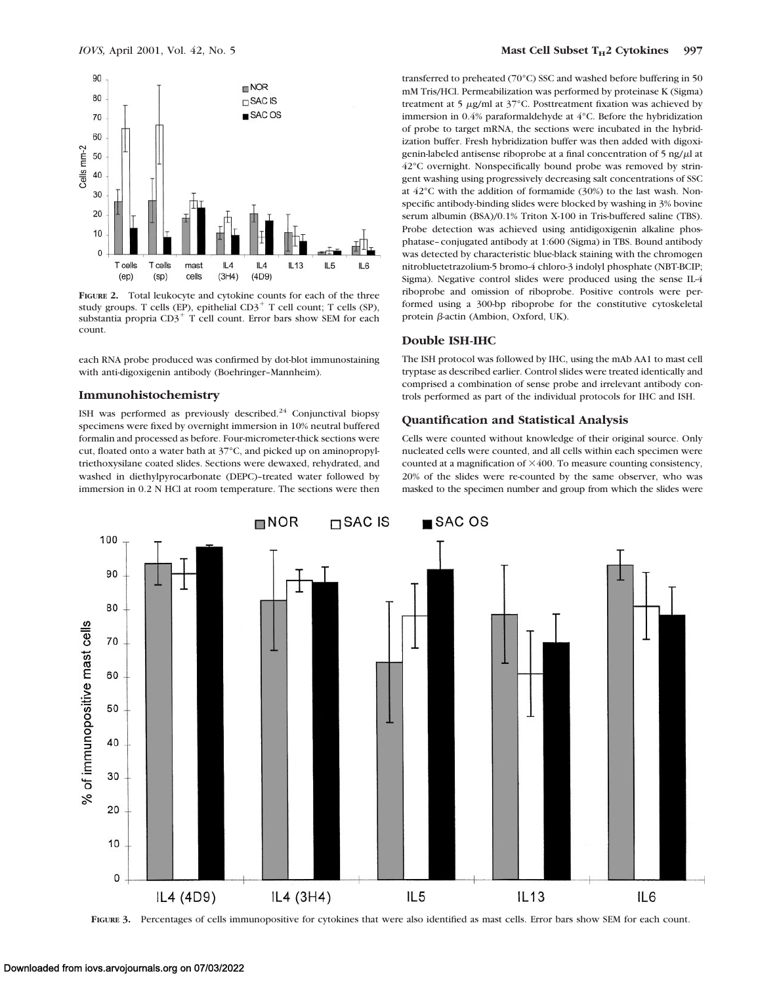

**FIGURE 2.** Total leukocyte and cytokine counts for each of the three study groups. T cells (EP), epithelial  $CD3<sup>+</sup>$  T cell count; T cells (SP), substantia propria  $CD3^+$  T cell count. Error bars show SEM for each count.

each RNA probe produced was confirmed by dot-blot immunostaining with anti-digoxigenin antibody (Boehringer–Mannheim).

#### **Immunohistochemistry**

ISH was performed as previously described.<sup>24</sup> Conjunctival biopsy specimens were fixed by overnight immersion in 10% neutral buffered formalin and processed as before. Four-micrometer-thick sections were cut, floated onto a water bath at 37°C, and picked up on aminopropyltriethoxysilane coated slides. Sections were dewaxed, rehydrated, and washed in diethylpyrocarbonate (DEPC)–treated water followed by immersion in 0.2 N HCl at room temperature. The sections were then transferred to preheated (70°C) SSC and washed before buffering in 50 mM Tris/HCl. Permeabilization was performed by proteinase K (Sigma) treatment at 5  $\mu$ g/ml at 37°C. Posttreatment fixation was achieved by immersion in 0.4% paraformaldehyde at 4°C. Before the hybridization of probe to target mRNA, the sections were incubated in the hybridization buffer. Fresh hybridization buffer was then added with digoxigenin-labeled antisense riboprobe at a final concentration of  $5$  ng/ $\mu$ l at 42°C overnight. Nonspecifically bound probe was removed by stringent washing using progressively decreasing salt concentrations of SSC at 42°C with the addition of formamide (30%) to the last wash. Nonspecific antibody-binding slides were blocked by washing in 3% bovine serum albumin (BSA)/0.1% Triton X-100 in Tris-buffered saline (TBS). Probe detection was achieved using antidigoxigenin alkaline phosphatase–conjugated antibody at 1:600 (Sigma) in TBS. Bound antibody was detected by characteristic blue-black staining with the chromogen nitrobluetetrazolium-5 bromo-4 chloro-3 indolyl phosphate (NBT-BCIP; Sigma). Negative control slides were produced using the sense IL-4 riboprobe and omission of riboprobe. Positive controls were performed using a 300-bp riboprobe for the constitutive cytoskeletal protein  $\beta$ -actin (Ambion, Oxford, UK).

#### **Double ISH-IHC**

The ISH protocol was followed by IHC, using the mAb AA1 to mast cell tryptase as described earlier. Control slides were treated identically and comprised a combination of sense probe and irrelevant antibody controls performed as part of the individual protocols for IHC and ISH.

# **Quantification and Statistical Analysis**

Cells were counted without knowledge of their original source. Only nucleated cells were counted, and all cells within each specimen were counted at a magnification of  $\times$ 400. To measure counting consistency, 20% of the slides were re-counted by the same observer, who was masked to the specimen number and group from which the slides were



**FIGURE 3.** Percentages of cells immunopositive for cytokines that were also identified as mast cells. Error bars show SEM for each count.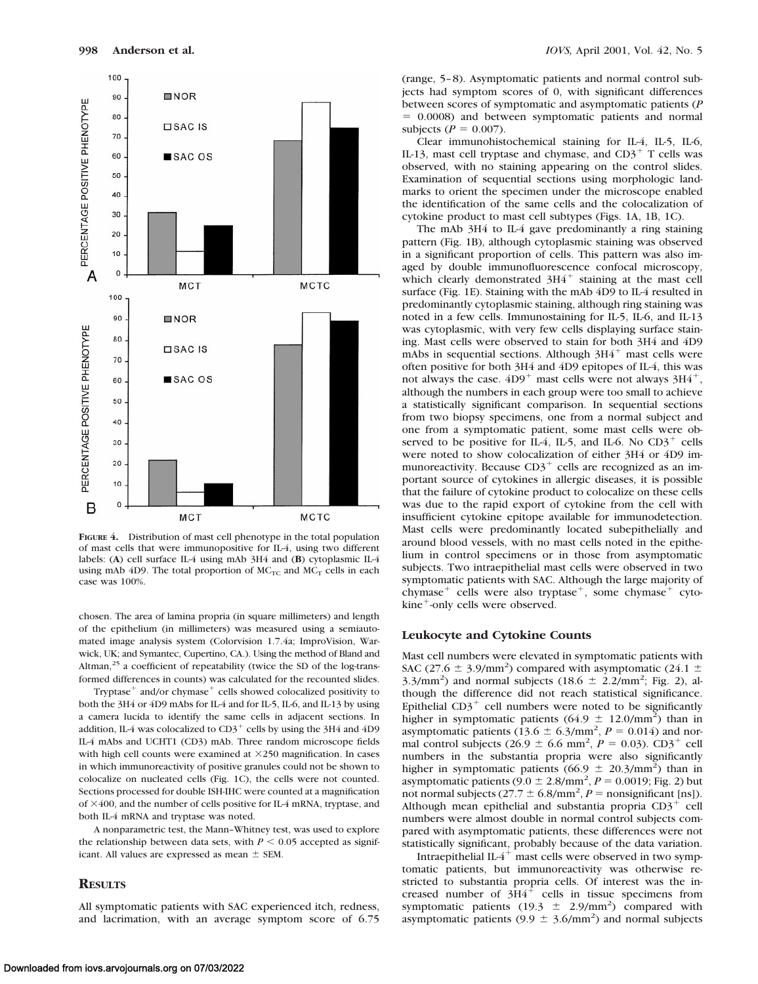

**FIGURE 4.** Distribution of mast cell phenotype in the total population of mast cells that were immunopositive for IL-4, using two different labels: (**A**) cell surface IL-4 using mAb 3H4 and (**B**) cytoplasmic IL-4 using mAb 4D9. The total proportion of  $MC_{TC}$  and  $MC_T$  cells in each case was 100%.

chosen. The area of lamina propria (in square millimeters) and length of the epithelium (in millimeters) was measured using a semiautomated image analysis system (Colorvision 1.7.4a; ImproVision, Warwick, UK; and Symantec, Cupertino, CA.). Using the method of Bland and Altman, $25$  a coefficient of repeatability (twice the SD of the log-transformed differences in counts) was calculated for the recounted slides.

Tryptase<sup> $+$ </sup> and/or chymase<sup> $+$ </sup> cells showed colocalized positivity to both the 3H4 or 4D9 mAbs for IL-4 and for IL-5, IL-6, and IL-13 by using a camera lucida to identify the same cells in adjacent sections. In addition, IL-4 was colocalized to  $CD3^+$  cells by using the 3H4 and 4D9 IL-4 mAbs and UCHT1 (CD3) mAb. Three random microscope fields with high cell counts were examined at  $\times$ 250 magnification. In cases in which immunoreactivity of positive granules could not be shown to colocalize on nucleated cells (Fig. 1C), the cells were not counted. Sections processed for double ISH-IHC were counted at a magnification of  $\times$ 400, and the number of cells positive for IL-4 mRNA, tryptase, and both IL-4 mRNA and tryptase was noted.

A nonparametric test, the Mann–Whitney test, was used to explore the relationship between data sets, with  $P \leq 0.05$  accepted as significant. All values are expressed as mean  $\pm$  SEM.

#### **RESULTS**

All symptomatic patients with SAC experienced itch, redness, and lacrimation, with an average symptom score of 6.75 (range, 5–8). Asymptomatic patients and normal control subjects had symptom scores of 0, with significant differences between scores of symptomatic and asymptomatic patients (*P*  $= 0.0008$ ) and between symptomatic patients and normal subjects ( $P = 0.007$ ).

Clear immunohistochemical staining for IL-4, IL-5, IL-6, IL-13, mast cell tryptase and chymase, and  $CD3^+$  T cells was observed, with no staining appearing on the control slides. Examination of sequential sections using morphologic landmarks to orient the specimen under the microscope enabled the identification of the same cells and the colocalization of cytokine product to mast cell subtypes (Figs. 1A, 1B, 1C).

The mAb 3H4 to IL-4 gave predominantly a ring staining pattern (Fig. 1B), although cytoplasmic staining was observed in a significant proportion of cells. This pattern was also imaged by double immunofluorescence confocal microscopy, which clearly demonstrated  $3H4$ <sup>+</sup> staining at the mast cell surface (Fig. 1E). Staining with the mAb 4D9 to IL-4 resulted in predominantly cytoplasmic staining, although ring staining was noted in a few cells. Immunostaining for IL-5, IL-6, and IL-13 was cytoplasmic, with very few cells displaying surface staining. Mast cells were observed to stain for both 3H4 and 4D9 mAbs in sequential sections. Although  $3H4$ <sup>+</sup> mast cells were often positive for both 3H4 and 4D9 epitopes of IL-4, this was not always the case.  $4D9^+$  mast cells were not always  $3H4^+$ , although the numbers in each group were too small to achieve a statistically significant comparison. In sequential sections from two biopsy specimens, one from a normal subject and one from a symptomatic patient, some mast cells were observed to be positive for IL-4, IL-5, and IL-6. No  $CD3^+$  cells were noted to show colocalization of either 3H4 or 4D9 immunoreactivity. Because  $CD3^+$  cells are recognized as an important source of cytokines in allergic diseases, it is possible that the failure of cytokine product to colocalize on these cells was due to the rapid export of cytokine from the cell with insufficient cytokine epitope available for immunodetection. Mast cells were predominantly located subepithelially and around blood vessels, with no mast cells noted in the epithelium in control specimens or in those from asymptomatic subjects. Two intraepithelial mast cells were observed in two symptomatic patients with SAC. Although the large majority of chymase<sup>+</sup> cells were also tryptase<sup>+</sup>, some chymase<sup>+</sup> cytokine<sup>+</sup>-only cells were observed.

#### **Leukocyte and Cytokine Counts**

Mast cell numbers were elevated in symptomatic patients with SAC (27.6  $\pm$  3.9/mm<sup>2</sup>) compared with asymptomatic (24.1  $\pm$ 3.3/mm<sup>2</sup>) and normal subjects (18.6  $\pm$  2.2/mm<sup>2</sup>; Fig. 2), although the difference did not reach statistical significance. Epithelial  $CD3^+$  cell numbers were noted to be significantly higher in symptomatic patients (64.9  $\pm$  12.0/mm<sup>2</sup>) than in asymptomatic patients  $(13.6 \pm 6.3/\text{mm}^2, P = 0.014)$  and normal control subjects (26.9  $\pm$  6.6 mm<sup>2</sup>, *P* = 0.03). CD3<sup>+</sup> cell numbers in the substantia propria were also significantly higher in symptomatic patients  $(66.9 \pm 20.3/\text{mm}^2)$  than in asymptomatic patients  $(9.0 \pm 2.8/\text{mm}^2, P = 0.0019; \text{Fig. 2})$  but not normal subjects  $(27.7 \pm 6.8/\text{mm}^2, P = \text{nonsignificant [ns]})$ . Although mean epithelial and substantia propria  $CD3^+$  cell numbers were almost double in normal control subjects compared with asymptomatic patients, these differences were not statistically significant, probably because of the data variation.

Intraepithelial IL- $4^+$  mast cells were observed in two symptomatic patients, but immunoreactivity was otherwise restricted to substantia propria cells. Of interest was the increased number of  $3H4$ <sup>+</sup> cells in tissue specimens from symptomatic patients  $(19.3 \pm 2.9/\text{mm}^2)$  compared with asymptomatic patients  $(9.9 \pm 3.6/\text{mm}^2)$  and normal subjects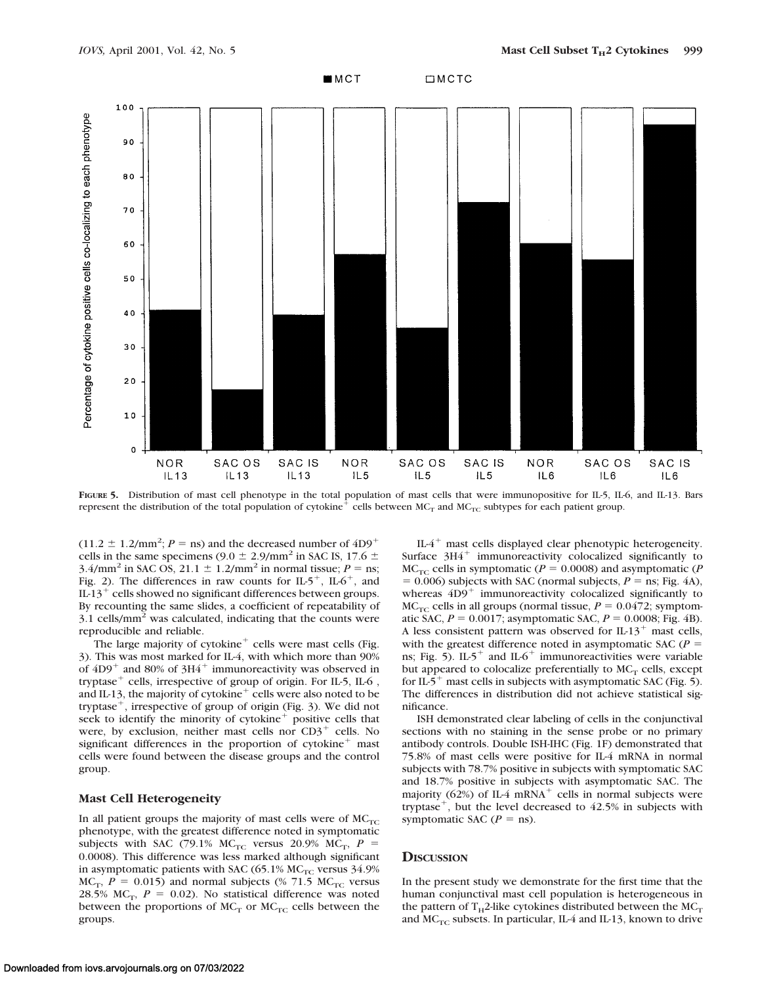

**FIGURE 5.** Distribution of mast cell phenotype in the total population of mast cells that were immunopositive for IL-5, IL-6, and IL-13. Bars represent the distribution of the total population of cytokine<sup>+</sup> cells between  $MC_T$  and  $MC_{TC}$  subtypes for each patient group.

 $(11.2 \pm 1.2/\text{mm}^2; P = \text{ns})$  and the decreased number of  $4D9^+$ cells in the same specimens (9.0  $\pm$  2.9/mm<sup>2</sup> in SAC IS, 17.6  $\pm$  $3.4/\text{mm}^2$  in SAC OS,  $21.1 \pm 1.2/\text{mm}^2$  in normal tissue;  $P = \text{ns}$ ; Fig. 2). The differences in raw counts for  $IL5^+$ ,  $IL6^+$ , and IL-13<sup>+</sup> cells showed no significant differences between groups. By recounting the same slides, a coefficient of repeatability of  $3.1$  cells/mm<sup>2</sup> was calculated, indicating that the counts were reproducible and reliable.

The large majority of  $cytokine^+$  cells were mast cells (Fig. 3). This was most marked for IL-4, with which more than 90% of  $4D9$ <sup>+</sup> and 80% of 3H4<sup>+</sup> immunoreactivity was observed in tryptase $^+$  cells, irrespective of group of origin. For IL-5, IL-6 , and IL-13, the majority of cytokine $^+$  cells were also noted to be tryptase<sup> $+$ </sup>, irrespective of group of origin (Fig. 3). We did not seek to identify the minority of cytokine $<sup>+</sup>$  positive cells that</sup> were, by exclusion, neither mast cells nor  $CD3^+$  cells. No significant differences in the proportion of  $cy$ tokine<sup>+</sup> mast cells were found between the disease groups and the control group.

#### **Mast Cell Heterogeneity**

In all patient groups the majority of mast cells were of  $MC_{TC}$ phenotype, with the greatest difference noted in symptomatic subjects with SAC (79.1% MC<sub>TC</sub> versus 20.9% MC<sub>T</sub>,  $P =$ 0.0008). This difference was less marked although significant in asymptomatic patients with SAC (65.1%  $MC_{TC}$  versus 34.9%  $MC_T$ ,  $P = 0.015$ ) and normal subjects (% 71.5 MC<sub>TC</sub> versus 28.5% MC<sub>T</sub>,  $P = 0.02$ ). No statistical difference was noted between the proportions of  $MC_T$  or  $MC_{TC}$  cells between the groups.

IL- $4^+$  mast cells displayed clear phenotypic heterogeneity. Surface  $3H4$ <sup>+</sup> immunoreactivity colocalized significantly to  $MC_{TC}$  cells in symptomatic ( $P = 0.0008$ ) and asymptomatic ( $P$  $= 0.006$ ) subjects with SAC (normal subjects,  $P =$ ns; Fig. 4A), whereas  $4D9$ <sup>+</sup> immunoreactivity colocalized significantly to  $MC_{TC}$  cells in all groups (normal tissue,  $P = 0.0472$ ; symptomatic SAC,  $P = 0.0017$ ; asymptomatic SAC,  $P = 0.0008$ ; Fig. 4B). A less consistent pattern was observed for  $IL-13^+$  mast cells, with the greatest difference noted in asymptomatic SAC  $(P =$ ns; Fig. 5). IL-5<sup>+</sup> and IL-6<sup>+</sup> immunoreactivities were variable but appeared to colocalize preferentially to  $MC_T$  cells, except for IL-5<sup>+</sup> mast cells in subjects with asymptomatic SAC (Fig. 5). The differences in distribution did not achieve statistical significance.

ISH demonstrated clear labeling of cells in the conjunctival sections with no staining in the sense probe or no primary antibody controls. Double ISH-IHC (Fig. 1F) demonstrated that 75.8% of mast cells were positive for IL-4 mRNA in normal subjects with 78.7% positive in subjects with symptomatic SAC and 18.7% positive in subjects with asymptomatic SAC. The majority (62%) of IL-4 mRNA<sup>+</sup> cells in normal subjects were tryptase<sup>+</sup>, but the level decreased to  $42.5\%$  in subjects with symptomatic SAC  $(P = \text{ns})$ .

# **DISCUSSION**

In the present study we demonstrate for the first time that the human conjunctival mast cell population is heterogeneous in the pattern of  $T_H$ 2-like cytokines distributed between the MC<sub>T</sub> and  $MC_{TC}$  subsets. In particular, IL-4 and IL-13, known to drive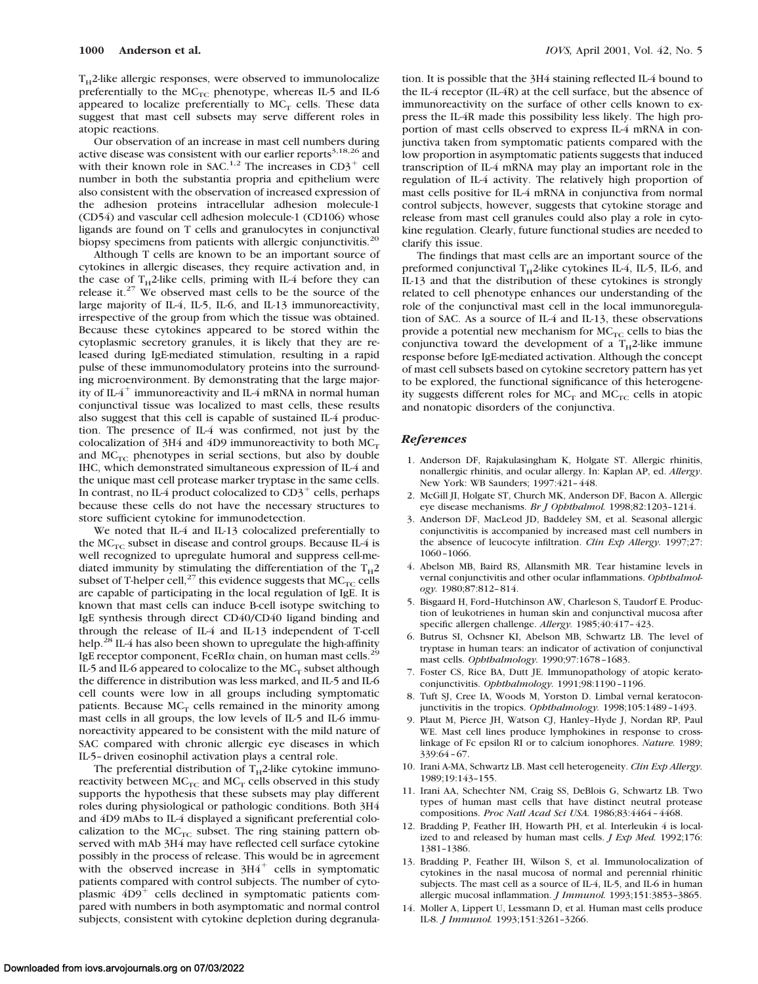$T_H$ 2-like allergic responses, were observed to immunolocalize preferentially to the  $MC_{TC}$  phenotype, whereas IL-5 and IL-6 appeared to localize preferentially to  $MC_T$  cells. These data suggest that mast cell subsets may serve different roles in atopic reactions.

Our observation of an increase in mast cell numbers during active disease was consistent with our earlier reports<sup>3,18,26</sup> and with their known role in SAC.<sup>1,2</sup> The increases in CD3<sup>+</sup> cell number in both the substantia propria and epithelium were also consistent with the observation of increased expression of the adhesion proteins intracellular adhesion molecule-1 (CD54) and vascular cell adhesion molecule-1 (CD106) whose ligands are found on T cells and granulocytes in conjunctival biopsy specimens from patients with allergic conjunctivitis.<sup>20</sup>

Although T cells are known to be an important source of cytokines in allergic diseases, they require activation and, in the case of  $T_H$ 2-like cells, priming with IL-4 before they can release it.<sup>27</sup> We observed mast cells to be the source of the large majority of IL-4, IL-5, IL-6, and IL-13 immunoreactivity, irrespective of the group from which the tissue was obtained. Because these cytokines appeared to be stored within the cytoplasmic secretory granules, it is likely that they are released during IgE-mediated stimulation, resulting in a rapid pulse of these immunomodulatory proteins into the surrounding microenvironment. By demonstrating that the large majority of  $IL4^+$  immunoreactivity and IL-4 mRNA in normal human conjunctival tissue was localized to mast cells, these results also suggest that this cell is capable of sustained IL-4 production. The presence of IL-4 was confirmed, not just by the colocalization of 3H4 and 4D9 immunoreactivity to both  $MC_T$ and  $MC<sub>TC</sub>$  phenotypes in serial sections, but also by double IHC, which demonstrated simultaneous expression of IL-4 and the unique mast cell protease marker tryptase in the same cells. In contrast, no IL-4 product colocalized to  $CD3^+$  cells, perhaps because these cells do not have the necessary structures to store sufficient cytokine for immunodetection.

We noted that IL-4 and IL-13 colocalized preferentially to the  $MC_{TC}$  subset in disease and control groups. Because IL-4 is well recognized to upregulate humoral and suppress cell-mediated immunity by stimulating the differentiation of the  $T_H2$ subset of T-helper cell,<sup>27</sup> this evidence suggests that  $MC_{TC}$  cells are capable of participating in the local regulation of IgE. It is known that mast cells can induce B-cell isotype switching to IgE synthesis through direct CD40/CD40 ligand binding and through the release of IL-4 and IL-13 independent of T-cell help.<sup>28</sup> IL-4 has also been shown to upregulate the high-affinity IgE receptor component,  $Fc \in RI\alpha$  chain, on human mast cells.<sup>29</sup> IL-5 and IL-6 appeared to colocalize to the  $MC<sub>T</sub>$  subset although the difference in distribution was less marked, and IL-5 and IL-6 cell counts were low in all groups including symptomatic patients. Because  $MC<sub>T</sub>$  cells remained in the minority among mast cells in all groups, the low levels of IL-5 and IL-6 immunoreactivity appeared to be consistent with the mild nature of SAC compared with chronic allergic eye diseases in which IL-5–driven eosinophil activation plays a central role.

The preferential distribution of  $T_H$ 2-like cytokine immunoreactivity between  $\mathrm{MC}_\mathrm{TC}$  and  $\mathrm{MC}_\mathrm{T}$  cells observed in this study supports the hypothesis that these subsets may play different roles during physiological or pathologic conditions. Both 3H4 and 4D9 mAbs to IL-4 displayed a significant preferential colocalization to the  $MC_{TC}$  subset. The ring staining pattern observed with mAb 3H4 may have reflected cell surface cytokine possibly in the process of release. This would be in agreement with the observed increase in  $3H4$ <sup>+</sup> cells in symptomatic patients compared with control subjects. The number of cytoplasmic  $4D9$ <sup>+</sup> cells declined in symptomatic patients compared with numbers in both asymptomatic and normal control subjects, consistent with cytokine depletion during degranulation. It is possible that the 3H4 staining reflected IL-4 bound to the IL-4 receptor (IL-4R) at the cell surface, but the absence of immunoreactivity on the surface of other cells known to express the IL-4R made this possibility less likely. The high proportion of mast cells observed to express IL-4 mRNA in conjunctiva taken from symptomatic patients compared with the low proportion in asymptomatic patients suggests that induced transcription of IL-4 mRNA may play an important role in the regulation of IL-4 activity. The relatively high proportion of mast cells positive for IL-4 mRNA in conjunctiva from normal control subjects, however, suggests that cytokine storage and release from mast cell granules could also play a role in cytokine regulation. Clearly, future functional studies are needed to clarify this issue.

The findings that mast cells are an important source of the preformed conjunctival  $T_H$ 2-like cytokines IL-4, IL-5, IL-6, and IL-13 and that the distribution of these cytokines is strongly related to cell phenotype enhances our understanding of the role of the conjunctival mast cell in the local immunoregulation of SAC. As a source of IL-4 and IL-13, these observations provide a potential new mechanism for  $MC_{TC}$  cells to bias the conjunctiva toward the development of a  $T_H$ 2-like immune response before IgE-mediated activation. Although the concept of mast cell subsets based on cytokine secretory pattern has yet to be explored, the functional significance of this heterogeneity suggests different roles for  $MC_T$  and  $MC_{TC}$  cells in atopic and nonatopic disorders of the conjunctiva.

## *References*

- 1. Anderson DF, Rajakulasingham K, Holgate ST. Allergic rhinitis, nonallergic rhinitis, and ocular allergy. In: Kaplan AP, ed. *Allergy*. New York: WB Saunders; 1997:421–448.
- 2. McGill JI, Holgate ST, Church MK, Anderson DF, Bacon A. Allergic eye disease mechanisms. *Br J Ophthalmol.* 1998;82:1203–1214.
- 3. Anderson DF, MacLeod JD, Baddeley SM, et al. Seasonal allergic conjunctivitis is accompanied by increased mast cell numbers in the absence of leucocyte infiltration. *Clin Exp Allergy.* 1997;27: 1060–1066.
- 4. Abelson MB, Baird RS, Allansmith MR. Tear histamine levels in vernal conjunctivitis and other ocular inflammations. *Ophthalmology.* 1980;87:812–814.
- 5. Bisgaard H, Ford–Hutchinson AW, Charleson S, Taudorf E. Production of leukotrienes in human skin and conjunctival mucosa after specific allergen challenge. *Allergy.* 1985;40:417–423.
- 6. Butrus SI, Ochsner KI, Abelson MB, Schwartz LB. The level of tryptase in human tears: an indicator of activation of conjunctival mast cells. *Ophthalmology.* 1990;97:1678–1683.
- 7. Foster CS, Rice BA, Dutt JE. Immunopathology of atopic keratoconjunctivitis. *Ophthalmology.* 1991;98:1190–1196.
- 8. Tuft SJ, Cree IA, Woods M, Yorston D. Limbal vernal keratoconjunctivitis in the tropics. *Ophthalmology.* 1998;105:1489–1493.
- 9. Plaut M, Pierce JH, Watson CJ, Hanley–Hyde J, Nordan RP, Paul WE. Mast cell lines produce lymphokines in response to crosslinkage of Fc epsilon RI or to calcium ionophores. *Nature.* 1989; 339:64–67.
- 10. Irani A-MA, Schwartz LB. Mast cell heterogeneity. *Clin Exp Allergy.* 1989;19:143–155.
- 11. Irani AA, Schechter NM, Craig SS, DeBlois G, Schwartz LB. Two types of human mast cells that have distinct neutral protease compositions. *Proc Natl Acad Sci USA.* 1986;83:4464–4468.
- 12. Bradding P, Feather IH, Howarth PH, et al. Interleukin 4 is localized to and released by human mast cells. *J Exp Med.* 1992;176: 1381–1386.
- 13. Bradding P, Feather IH, Wilson S, et al. Immunolocalization of cytokines in the nasal mucosa of normal and perennial rhinitic subjects. The mast cell as a source of IL-4, IL-5, and IL-6 in human allergic mucosal inflammation. *J Immunol.* 1993;151:3853–3865.
- 14. Moller A, Lippert U, Lessmann D, et al. Human mast cells produce IL-8. *J Immunol.* 1993;151:3261–3266.